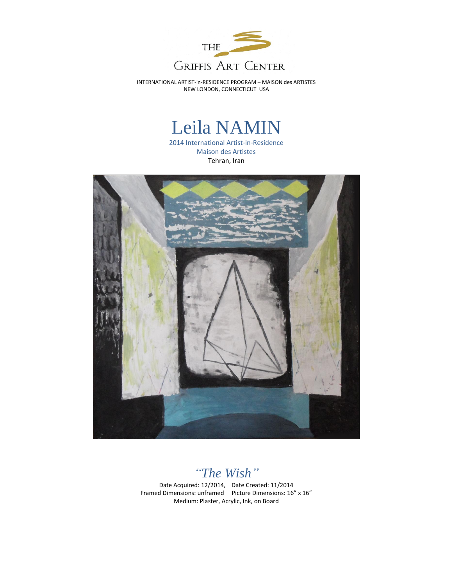

INTERNATIONAL ARTIST-in-RESIDENCE PROGRAM – MAISON des ARTISTES NEW LONDON, CONNECTICUT USA

## Leila NAMIN

2014 International Artist-in-Residence Maison des Artistes Tehran, Iran



*"The Wish"*

Date Acquired: 12/2014, Date Created: 11/2014 Framed Dimensions: unframed Picture Dimensions: 16" x 16" Medium: Plaster, Acrylic, Ink, on Board